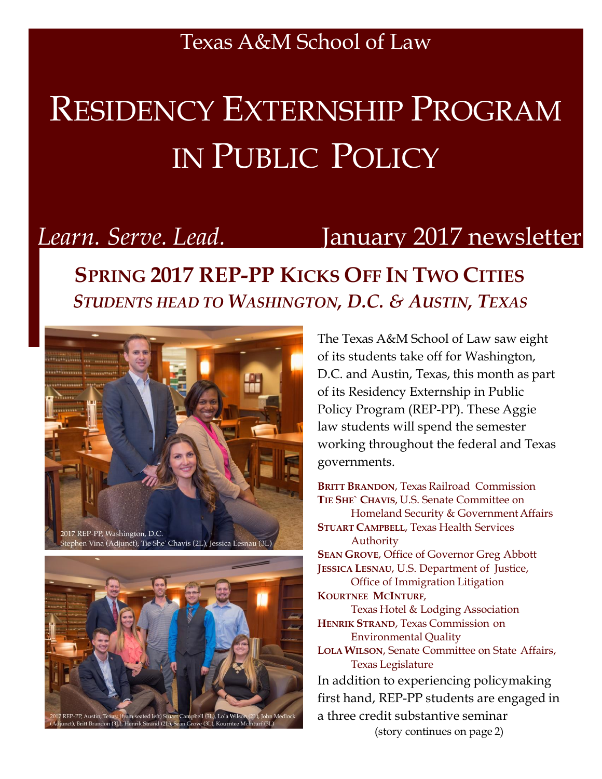# Texas A&M School of Law

# RESIDENCY EXTERNSHIP PROGRAM IN PUBLIC POLICY

# *Learn. Serve. Lead.* January 2017 newsletter

**SPRING 2017 REP-PP KICKS OFF IN TWO CITIES** *STUDENTS HEAD TO WASHINGTON, D.C. & AUSTIN, TEXAS*



Stephen Vina (Adjunct), Tie She' Chavis (2L), Jessica Lesnau (3L



The Texas A&M School of Law saw eight of its students take off for Washington, D.C. and Austin, Texas, this month as part of its Residency Externship in Public Policy Program (REP-PP). These Aggie law students will spend the semester working throughout the federal and Texas governments.

**BRITT BRANDON**, Texas Railroad Commission **TIE SHE` CHAVIS**, U.S. Senate Committee on Homeland Security & Government Affairs **STUART CAMPBELL**, Texas Health Services Authority **SEAN GROVE**, Office of Governor Greg Abbott **JESSICA LESNAU**, U.S. Department of Justice, Office of Immigration Litigation **KOURTNEE MCINTURF**, Texas Hotel & Lodging Association **HENRIK STRAND**, Texas Commission on Environmental Quality **LOLA WILSON**, Senate Committee on State Affairs, Texas Legislature In addition to experiencing policymaking first hand, REP-PP students are engaged in a three credit substantive seminar

(story continues on page 2)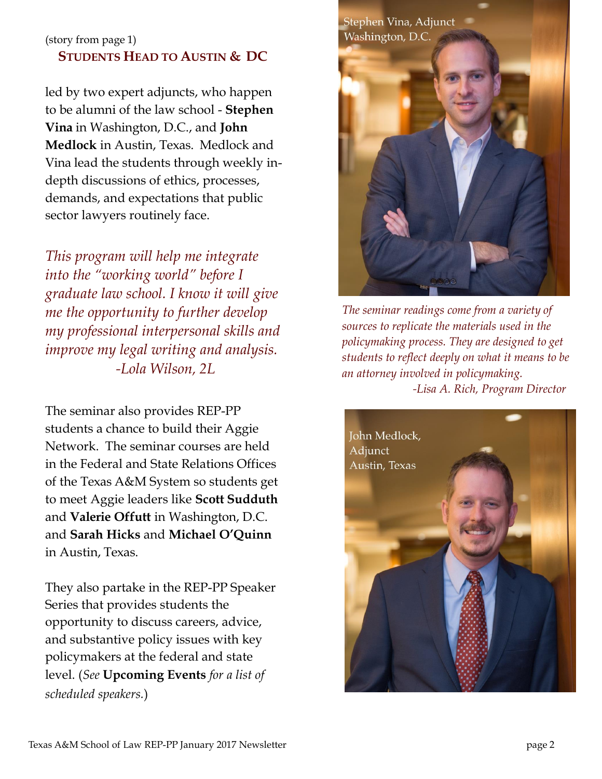## (story from page 1) **STUDENTS HEAD TO AUSTIN & DC**

led by two expert adjuncts, who happen to be alumni of the law school - **Stephen Vina** in Washington, D.C., and **John Medlock** in Austin, Texas. Medlock and Vina lead the students through weekly indepth discussions of ethics, processes, demands, and expectations that public sector lawyers routinely face.

*This program will help me integrate into the "working world" before I graduate law school. I know it will give me the opportunity to further develop my professional interpersonal skills and improve my legal writing and analysis. -Lola Wilson, 2L*

The seminar also provides REP-PP students a chance to build their Aggie Network. The seminar courses are held in the Federal and State Relations Offices of the Texas A&M System so students get to meet Aggie leaders like **Scott Sudduth** and **Valerie Offutt** in Washington, D.C. and **Sarah Hicks** and **Michael O'Quinn** in Austin, Texas.

They also partake in the REP-PP Speaker Series that provides students the opportunity to discuss careers, advice, and substantive policy issues with key policymakers at the federal and state level. (*See* **Upcoming Events** *for a list of scheduled speakers.*)



*The seminar readings come from a variety of sources to replicate the materials used in the policymaking process. They are designed to get students to reflect deeply on what it means to be an attorney involved in policymaking. -Lisa A. Rich, Program Director*

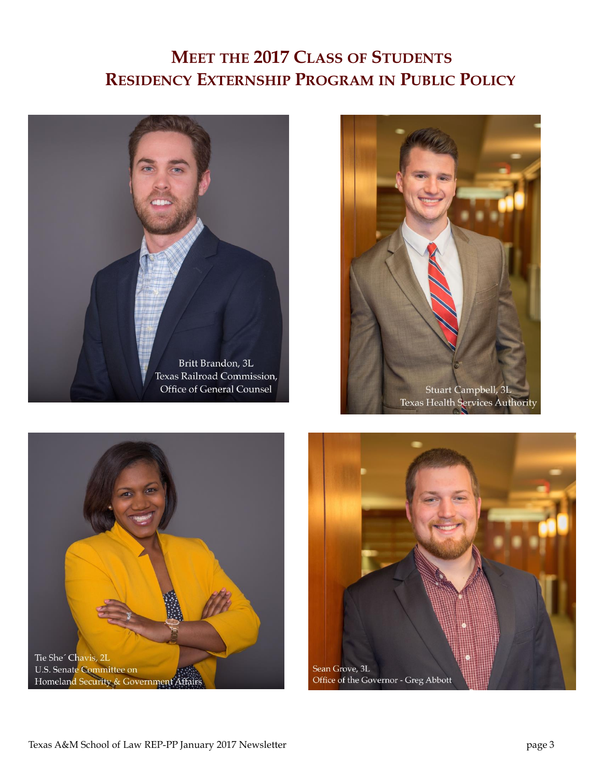# **MEET THE 2017 CLASS OF STUDENTS RESIDENCY EXTERNSHIP PROGRAM IN PUBLIC POLICY**







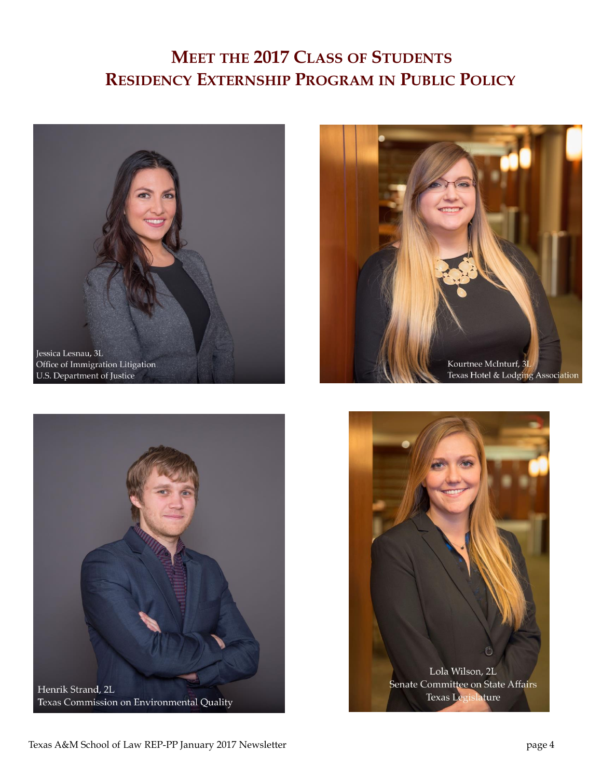# **MEET THE 2017 CLASS OF STUDENTS RESIDENCY EXTERNSHIP PROGRAM IN PUBLIC POLICY**